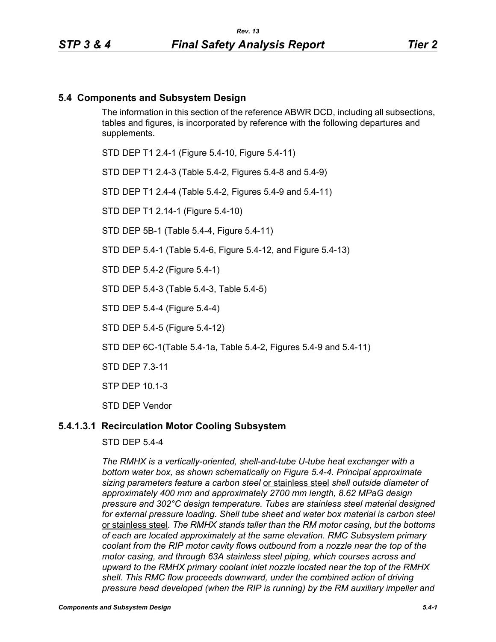### **5.4 Components and Subsystem Design**

The information in this section of the reference ABWR DCD, including all subsections, tables and figures, is incorporated by reference with the following departures and supplements.

STD DEP T1 2.4-1 (Figure 5.4-10, Figure 5.4-11)

STD DEP T1 2.4-3 (Table 5.4-2, Figures 5.4-8 and 5.4-9)

STD DEP T1 2.4-4 (Table 5.4-2, Figures 5.4-9 and 5.4-11)

STD DEP T1 2.14-1 (Figure 5.4-10)

STD DEP 5B-1 (Table 5.4-4, Figure 5.4-11)

STD DEP 5.4-1 (Table 5.4-6, Figure 5.4-12, and Figure 5.4-13)

STD DEP 5.4-2 (Figure 5.4-1)

STD DEP 5.4-3 (Table 5.4-3, Table 5.4-5)

STD DEP 5.4-4 (Figure 5.4-4)

STD DEP 5.4-5 (Figure 5.4-12)

STD DEP 6C-1(Table 5.4-1a, Table 5.4-2, Figures 5.4-9 and 5.4-11)

STD DEP 7.3-11

STP DEP 10.1-3

STD DEP Vendor

#### **5.4.1.3.1 Recirculation Motor Cooling Subsystem**

STD DEP 5.4-4

*The RMHX is a vertically-oriented, shell-and-tube U-tube heat exchanger with a bottom water box, as shown schematically on Figure 5.4-4. Principal approximate sizing parameters feature a carbon steel* or stainless steel *shell outside diameter of approximately 400 mm and approximately 2700 mm length, 8.62 MPaG design pressure and 302°C design temperature. Tubes are stainless steel material designed for external pressure loading. Shell tube sheet and water box material is carbon steel*  or stainless steel*. The RMHX stands taller than the RM motor casing, but the bottoms of each are located approximately at the same elevation. RMC Subsystem primary coolant from the RIP motor cavity flows outbound from a nozzle near the top of the motor casing, and through 63A stainless steel piping, which courses across and upward to the RMHX primary coolant inlet nozzle located near the top of the RMHX shell. This RMC flow proceeds downward, under the combined action of driving pressure head developed (when the RIP is running) by the RM auxiliary impeller and*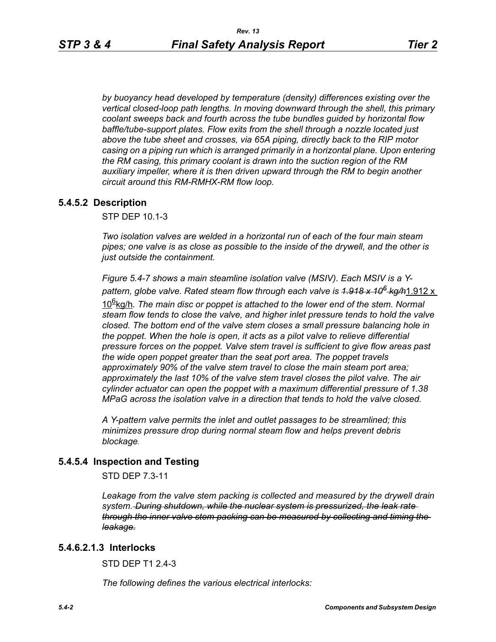*by buoyancy head developed by temperature (density) differences existing over the vertical closed-loop path lengths. In moving downward through the shell, this primary coolant sweeps back and fourth across the tube bundles guided by horizontal flow baffle/tube-support plates. Flow exits from the shell through a nozzle located just above the tube sheet and crosses, via 65A piping, directly back to the RIP motor casing on a piping run which is arranged primarily in a horizontal plane. Upon entering the RM casing, this primary coolant is drawn into the suction region of the RM auxiliary impeller, where it is then driven upward through the RM to begin another circuit around this RM-RMHX-RM flow loop.*

## **5.4.5.2 Description**

STP DEP 10.1-3

*Two isolation valves are welded in a horizontal run of each of the four main steam pipes; one valve is as close as possible to the inside of the drywell, and the other is just outside the containment.* 

*Figure 5.4-7 shows a main steamline isolation valve (MSIV). Each MSIV is a Ypattern, globe valve. Rated steam flow through each valve is 1.918 x 106 kg/h*1.912 x

10<sup>g</sup>kg/h. The main disc or poppet is attached to the lower end of the stem. Normal *steam flow tends to close the valve, and higher inlet pressure tends to hold the valve closed. The bottom end of the valve stem closes a small pressure balancing hole in the poppet. When the hole is open, it acts as a pilot valve to relieve differential pressure forces on the poppet. Valve stem travel is sufficient to give flow areas past the wide open poppet greater than the seat port area. The poppet travels approximately 90% of the valve stem travel to close the main steam port area; approximately the last 10% of the valve stem travel closes the pilot valve. The air cylinder actuator can open the poppet with a maximum differential pressure of 1.38 MPaG across the isolation valve in a direction that tends to hold the valve closed.* 

*A Y-pattern valve permits the inlet and outlet passages to be streamlined; this minimizes pressure drop during normal steam flow and helps prevent debris blockage.*

### **5.4.5.4 Inspection and Testing**

STD DEP 7.3-11

Leakage from the valve stem packing is collected and measured by the drywell drain *system. During shutdown, while the nuclear system is pressurized, the leak rate through the inner valve stem packing can be measured by collecting and timing the leakage.*

### **5.4.6.2.1.3 Interlocks**

STD DFP T1 2 4-3

*The following defines the various electrical interlocks:*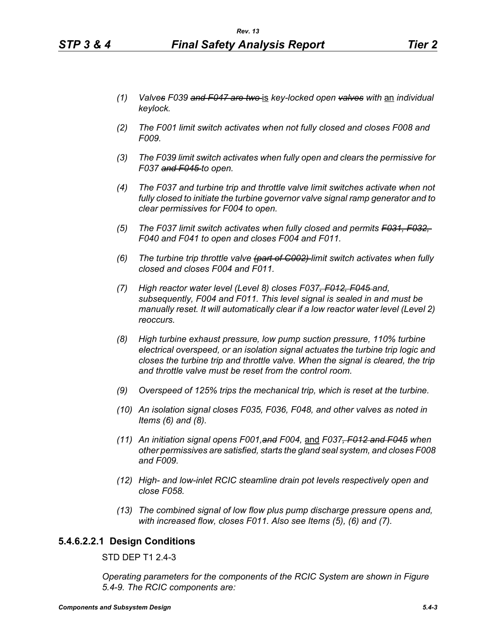- *(2) The F001 limit switch activates when not fully closed and closes F008 and F009.*
- *(3) The F039 limit switch activates when fully open and clears the permissive for F037 and F045 to open.*
- *(4) The F037 and turbine trip and throttle valve limit switches activate when not fully closed to initiate the turbine governor valve signal ramp generator and to clear permissives for F004 to open.*
- *(5) The F037 limit switch activates when fully closed and permits F031, F032, F040 and F041 to open and closes F004 and F011.*
- *(6) The turbine trip throttle valve (part of C002) limit switch activates when fully closed and closes F004 and F011.*
- *(7) High reactor water level (Level 8) closes F037, F012, F045 and, subsequently, F004 and F011. This level signal is sealed in and must be manually reset. It will automatically clear if a low reactor water level (Level 2) reoccurs.*
- *(8) High turbine exhaust pressure, low pump suction pressure, 110% turbine electrical overspeed, or an isolation signal actuates the turbine trip logic and closes the turbine trip and throttle valve. When the signal is cleared, the trip and throttle valve must be reset from the control room.*
- *(9) Overspeed of 125% trips the mechanical trip, which is reset at the turbine.*
- *(10) An isolation signal closes F035, F036, F048, and other valves as noted in Items (6) and (8).*
- *(11) An initiation signal opens F001,and F004,* and *F037, F012 and F045 when other permissives are satisfied, starts the gland seal system, and closes F008 and F009.*
- *(12) High- and low-inlet RCIC steamline drain pot levels respectively open and close F058.*
- *(13) The combined signal of low flow plus pump discharge pressure opens and, with increased flow, closes F011. Also see Items (5), (6) and (7).*

### **5.4.6.2.2.1 Design Conditions**

STD DEP T1 2.4-3

*Operating parameters for the components of the RCIC System are shown in Figure 5.4-9. The RCIC components are:*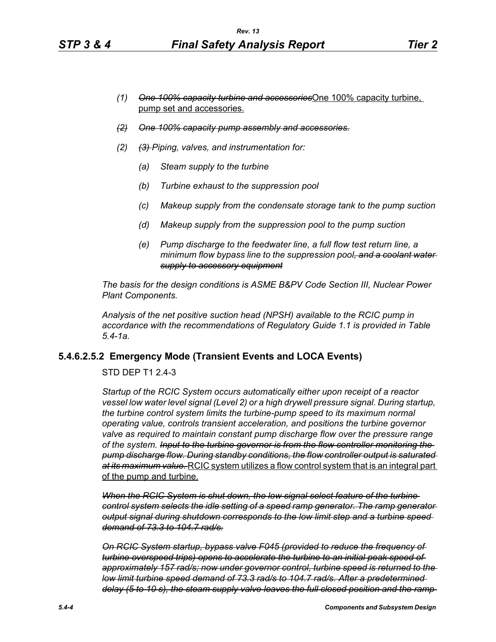- *(1) One 100% capacity turbine and accessories*One 100% capacity turbine, pump set and accessories.
- *(2) One 100% capacity pump assembly and accessories.*
- *(2) (3) Piping, valves, and instrumentation for:*
	- *(a) Steam supply to the turbine*
	- *(b) Turbine exhaust to the suppression pool*
	- *(c) Makeup supply from the condensate storage tank to the pump suction*
	- *(d) Makeup supply from the suppression pool to the pump suction*
	- *(e) Pump discharge to the feedwater line, a full flow test return line, a minimum flow bypass line to the suppression pool, and a coolant water supply to accessory equipment*

*The basis for the design conditions is ASME B&PV Code Section III, Nuclear Power Plant Components.*

*Analysis of the net positive suction head (NPSH) available to the RCIC pump in accordance with the recommendations of Regulatory Guide 1.1 is provided in Table 5.4-1a.*

# **5.4.6.2.5.2 Emergency Mode (Transient Events and LOCA Events)**

STD DEP T1 2.4-3

*Startup of the RCIC System occurs automatically either upon receipt of a reactor vessel low water level signal (Level 2) or a high drywell pressure signal. During startup, the turbine control system limits the turbine-pump speed to its maximum normal operating value, controls transient acceleration, and positions the turbine governor valve as required to maintain constant pump discharge flow over the pressure range of the system. Input to the turbine governor is from the flow controller monitoring the pump discharge flow. During standby conditions, the flow controller output is saturated at its maximum value.* RCIC system utilizes a flow control system that is an integral part of the pump and turbine.

*When the RCIC System is shut down, the low signal select feature of the turbine control system selects the idle setting of a speed ramp generator. The ramp generator output signal during shutdown corresponds to the low limit step and a turbine speed demand of 73.3 to 104.7 rad/s.*

*On RCIC System startup, bypass valve F045 (provided to reduce the frequency of turbine overspeed trips) opens to accelerate the turbine to an initial peak speed of approximately 157 rad/s; now under governor control, turbine speed is returned to the low limit turbine speed demand of 73.3 rad/s to 104.7 rad/s. After a predetermined delay (5 to 10 s), the steam supply valve leaves the full closed position and the ramp*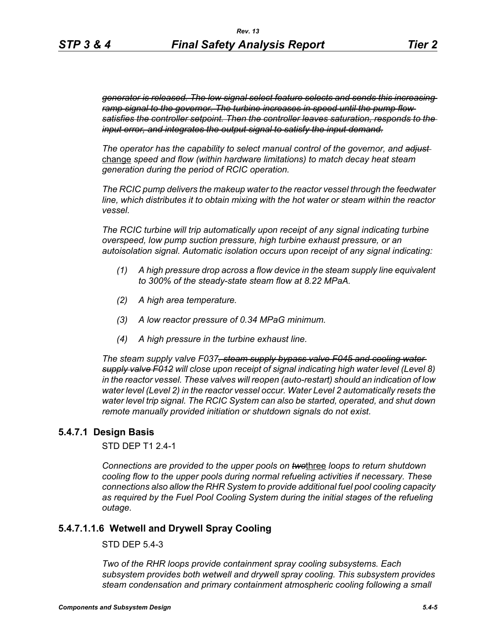*generator is released. The low signal select feature selects and sends this increasing ramp signal to the governor. The turbine increases in speed until the pump flow satisfies the controller setpoint. Then the controller leaves saturation, responds to the input error, and integrates the output signal to satisfy the input demand.*

*The operator has the capability to select manual control of the governor, and adjust*  change *speed and flow (within hardware limitations) to match decay heat steam generation during the period of RCIC operation.*

*The RCIC pump delivers the makeup water to the reactor vessel through the feedwater line, which distributes it to obtain mixing with the hot water or steam within the reactor vessel.*

*The RCIC turbine will trip automatically upon receipt of any signal indicating turbine overspeed, low pump suction pressure, high turbine exhaust pressure, or an autoisolation signal. Automatic isolation occurs upon receipt of any signal indicating:*

- *(1) A high pressure drop across a flow device in the steam supply line equivalent to 300% of the steady-state steam flow at 8.22 MPaA.*
- *(2) A high area temperature.*
- *(3) A low reactor pressure of 0.34 MPaG minimum.*
- *(4) A high pressure in the turbine exhaust line.*

*The steam supply valve F037, steam supply bypass valve F045 and cooling water supply valve F012 will close upon receipt of signal indicating high water level (Level 8) in the reactor vessel. These valves will reopen (auto-restart) should an indication of low water level (Level 2) in the reactor vessel occur. Water Level 2 automatically resets the water level trip signal. The RCIC System can also be started, operated, and shut down remote manually provided initiation or shutdown signals do not exist.*

### **5.4.7.1 Design Basis**

STD DEP T1 2.4-1

*Connections are provided to the upper pools on two*three *loops to return shutdown cooling flow to the upper pools during normal refueling activities if necessary. These connections also allow the RHR System to provide additional fuel pool cooling capacity*  as required by the Fuel Pool Cooling System during the initial stages of the refueling *outage.*

### **5.4.7.1.1.6 Wetwell and Drywell Spray Cooling**

STD DEP 5.4-3

*Two of the RHR loops provide containment spray cooling subsystems. Each subsystem provides both wetwell and drywell spray cooling. This subsystem provides steam condensation and primary containment atmospheric cooling following a small*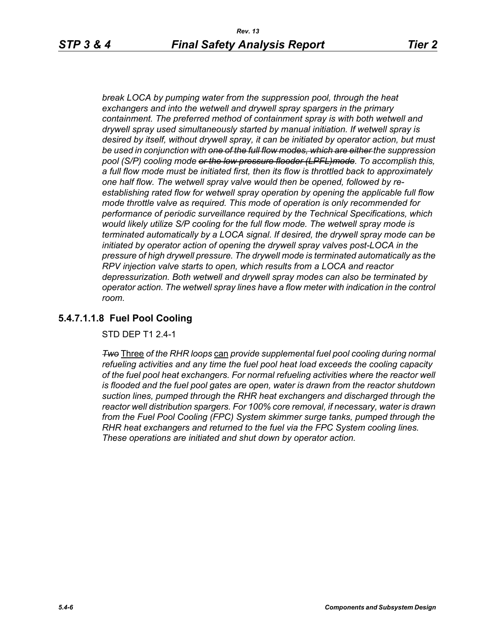*break LOCA by pumping water from the suppression pool, through the heat exchangers and into the wetwell and drywell spray spargers in the primary containment. The preferred method of containment spray is with both wetwell and drywell spray used simultaneously started by manual initiation. If wetwell spray is desired by itself, without drywell spray, it can be initiated by operator action, but must be used in conjunction with one of the full flow modes, which are either the suppression pool (S/P) cooling mode or the low pressure flooder (LPFL)mode. To accomplish this, a full flow mode must be initiated first, then its flow is throttled back to approximately one half flow. The wetwell spray valve would then be opened, followed by reestablishing rated flow for wetwell spray operation by opening the applicable full flow mode throttle valve as required. This mode of operation is only recommended for performance of periodic surveillance required by the Technical Specifications, which would likely utilize S/P cooling for the full flow mode. The wetwell spray mode is terminated automatically by a LOCA signal. If desired, the drywell spray mode can be initiated by operator action of opening the drywell spray valves post-LOCA in the pressure of high drywell pressure. The drywell mode is terminated automatically as the RPV injection valve starts to open, which results from a LOCA and reactor depressurization. Both wetwell and drywell spray modes can also be terminated by operator action. The wetwell spray lines have a flow meter with indication in the control room.*

## **5.4.7.1.1.8 Fuel Pool Cooling**

STD DEP T1 2.4-1

*Two* Three *of the RHR loops* can *provide supplemental fuel pool cooling during normal refueling activities and any time the fuel pool heat load exceeds the cooling capacity of the fuel pool heat exchangers. For normal refueling activities where the reactor well is flooded and the fuel pool gates are open, water is drawn from the reactor shutdown suction lines, pumped through the RHR heat exchangers and discharged through the reactor well distribution spargers. For 100% core removal, if necessary, water is drawn from the Fuel Pool Cooling (FPC) System skimmer surge tanks, pumped through the RHR heat exchangers and returned to the fuel via the FPC System cooling lines. These operations are initiated and shut down by operator action.*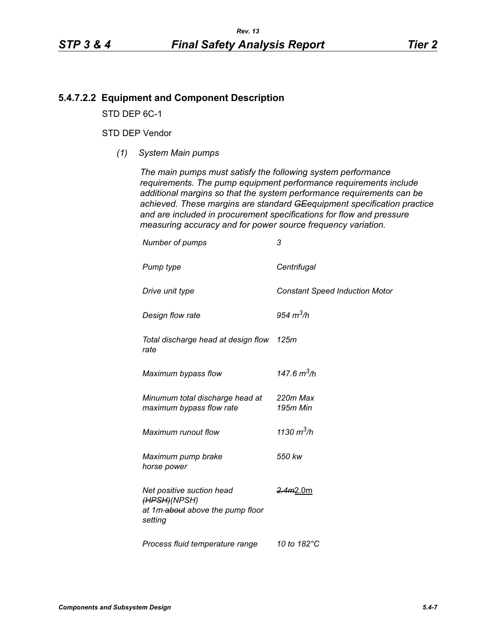### **5.4.7.2.2 Equipment and Component Description**

STD DEP 6C-1

#### STD DEP Vendor

*(1) System Main pumps*

*The main pumps must satisfy the following system performance requirements. The pump equipment performance requirements include additional margins so that the system performance requirements can be achieved. These margins are standard GEequipment specification practice and are included in procurement specifications for flow and pressure measuring accuracy and for power source frequency variation.*

| Number of pumps                                                                          | 3                                     |
|------------------------------------------------------------------------------------------|---------------------------------------|
| Pump type                                                                                | Centrifugal                           |
| Drive unit type                                                                          | <b>Constant Speed Induction Motor</b> |
| Design flow rate                                                                         | 954 $m^3/h$                           |
| Total discharge head at design flow 125m<br>rate                                         |                                       |
| Maximum bypass flow                                                                      | 147.6 $m^3/h$                         |
| Minumum total discharge head at<br>maximum bypass flow rate                              | 220m Max<br>195m Min                  |
| Maximum runout flow                                                                      | 1130 $m^3/h$                          |
| Maximum pump brake<br>horse power                                                        | 550 kw                                |
| Net positive suction head<br>(HPSH)(NPSH)<br>at 1m-about above the pump floor<br>setting | <del>2.4m</del> 2.0m                  |
| Process fluid temperature range                                                          | 10 to 182°C                           |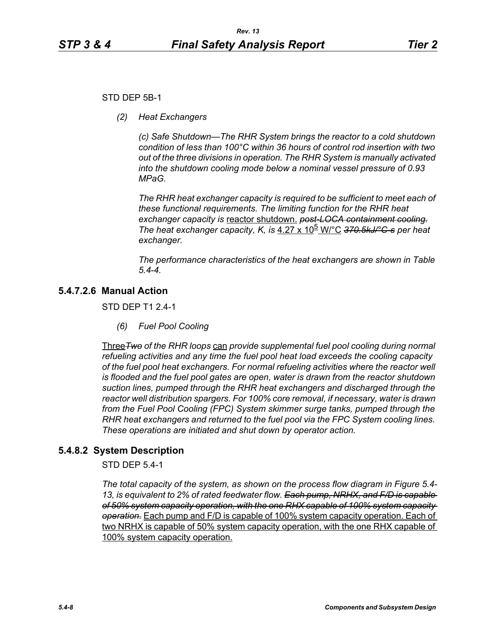### STD DEP 5B-1

*(2) Heat Exchangers*

*(c) Safe Shutdown—The RHR System brings the reactor to a cold shutdown condition of less than 100°C within 36 hours of control rod insertion with two out of the three divisions in operation. The RHR System is manually activated into the shutdown cooling mode below a nominal vessel pressure of 0.93 MPaG.* 

*The RHR heat exchanger capacity is required to be sufficient to meet each of these functional requirements. The limiting function for the RHR heat exchanger capacity is* reactor shutdown. *post-LOCA containment cooling. The heat exchanger capacity, K, is* 4.27 x 10<sup>b</sup> W/°C 370.5kJ/°C-s per heat *exchanger.*

*The performance characteristics of the heat exchangers are shown in Table 5.4-4.*

# **5.4.7.2.6 Manual Action**

STD DEP T1 2.4-1

*(6) Fuel Pool Cooling*

Three*Two of the RHR loops* can *provide supplemental fuel pool cooling during normal refueling activities and any time the fuel pool heat load exceeds the cooling capacity of the fuel pool heat exchangers. For normal refueling activities where the reactor well is flooded and the fuel pool gates are open, water is drawn from the reactor shutdown suction lines, pumped through the RHR heat exchangers and discharged through the reactor well distribution spargers. For 100% core removal, if necessary, water is drawn from the Fuel Pool Cooling (FPC) System skimmer surge tanks, pumped through the RHR heat exchangers and returned to the fuel pool via the FPC System cooling lines. These operations are initiated and shut down by operator action.*

### **5.4.8.2 System Description**

STD DEP 5.4-1

*The total capacity of the system, as shown on the process flow diagram in Figure 5.4- 13, is equivalent to 2% of rated feedwater flow. Each pump, NRHX, and F/D is capable of 50% system capacity operation, with the one RHX capable of 100% system capacity operation.* Each pump and F/D is capable of 100% system capacity operation. Each of two NRHX is capable of 50% system capacity operation, with the one RHX capable of 100% system capacity operation.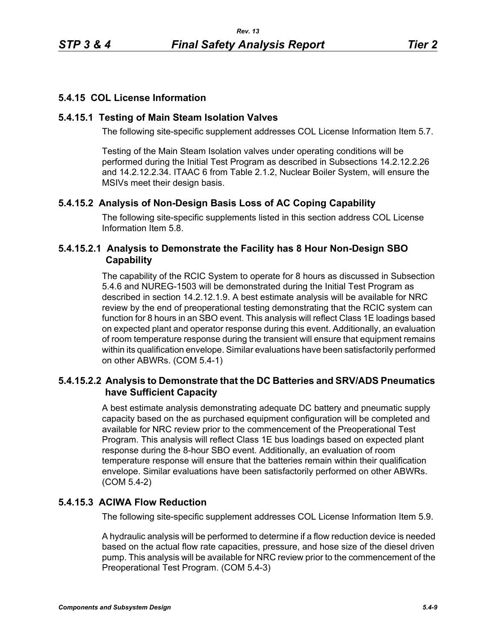# **5.4.15 COL License Information**

## **5.4.15.1 Testing of Main Steam Isolation Valves**

The following site-specific supplement addresses COL License Information Item 5.7.

Testing of the Main Steam Isolation valves under operating conditions will be performed during the Initial Test Program as described in Subsections 14.2.12.2.26 and 14.2.12.2.34. ITAAC 6 from Table 2.1.2, Nuclear Boiler System, will ensure the MSIVs meet their design basis.

# **5.4.15.2 Analysis of Non-Design Basis Loss of AC Coping Capability**

The following site-specific supplements listed in this section address COL License Information Item 5.8.

# **5.4.15.2.1 Analysis to Demonstrate the Facility has 8 Hour Non-Design SBO Capability**

The capability of the RCIC System to operate for 8 hours as discussed in Subsection 5.4.6 and NUREG-1503 will be demonstrated during the Initial Test Program as described in section 14.2.12.1.9. A best estimate analysis will be available for NRC review by the end of preoperational testing demonstrating that the RCIC system can function for 8 hours in an SBO event. This analysis will reflect Class 1E loadings based on expected plant and operator response during this event. Additionally, an evaluation of room temperature response during the transient will ensure that equipment remains within its qualification envelope. Similar evaluations have been satisfactorily performed on other ABWRs. (COM 5.4-1)

# **5.4.15.2.2 Analysis to Demonstrate that the DC Batteries and SRV/ADS Pneumatics have Sufficient Capacity**

A best estimate analysis demonstrating adequate DC battery and pneumatic supply capacity based on the as purchased equipment configuration will be completed and available for NRC review prior to the commencement of the Preoperational Test Program. This analysis will reflect Class 1E bus loadings based on expected plant response during the 8-hour SBO event. Additionally, an evaluation of room temperature response will ensure that the batteries remain within their qualification envelope. Similar evaluations have been satisfactorily performed on other ABWRs. (COM 5.4-2)

# **5.4.15.3 ACIWA Flow Reduction**

The following site-specific supplement addresses COL License Information Item 5.9.

A hydraulic analysis will be performed to determine if a flow reduction device is needed based on the actual flow rate capacities, pressure, and hose size of the diesel driven pump. This analysis will be available for NRC review prior to the commencement of the Preoperational Test Program. (COM 5.4-3)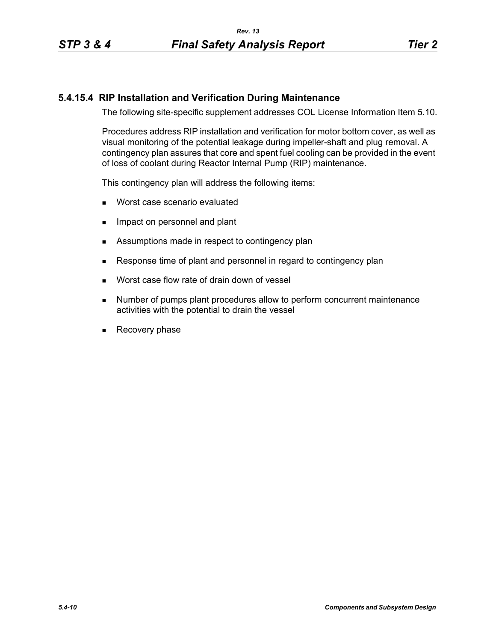# **5.4.15.4 RIP Installation and Verification During Maintenance**

The following site-specific supplement addresses COL License Information Item 5.10.

Procedures address RIP installation and verification for motor bottom cover, as well as visual monitoring of the potential leakage during impeller-shaft and plug removal. A contingency plan assures that core and spent fuel cooling can be provided in the event of loss of coolant during Reactor Internal Pump (RIP) maintenance.

This contingency plan will address the following items:

- **Worst case scenario evaluated**
- **IMPACT ON PERSONAL EXAMPLE 19** Impact on personnel and plant
- Assumptions made in respect to contingency plan
- Response time of plant and personnel in regard to contingency plan
- **Norst case flow rate of drain down of vessel**
- **Number of pumps plant procedures allow to perform concurrent maintenance** activities with the potential to drain the vessel
- Recovery phase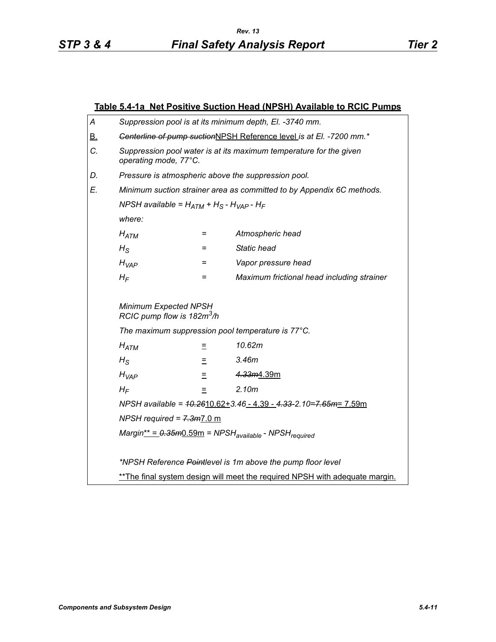|                              | Table 5.4-1a Net Positive Suction Head (NPSH) Available to RCIC Pumps                       |     |                                            |  |  |
|------------------------------|---------------------------------------------------------------------------------------------|-----|--------------------------------------------|--|--|
| А                            | Suppression pool is at its minimum depth, El. -3740 mm.                                     |     |                                            |  |  |
| <u>B.</u>                    | Centerline of pump suctionNPSH Reference level is at El. - 7200 mm.*                        |     |                                            |  |  |
| C.                           | Suppression pool water is at its maximum temperature for the given<br>operating mode, 77°C. |     |                                            |  |  |
| D.                           | Pressure is atmospheric above the suppression pool.                                         |     |                                            |  |  |
| E.                           | Minimum suction strainer area as committed to by Appendix 6C methods.                       |     |                                            |  |  |
|                              | NPSH available = $H_{ATM}$ + H <sub>S</sub> - H <sub>VAP</sub> - H <sub>F</sub>             |     |                                            |  |  |
|                              | where:                                                                                      |     |                                            |  |  |
|                              | $H_{ATM}$                                                                                   | =   | Atmospheric head                           |  |  |
|                              | $H_{\rm S}$                                                                                 | Ξ   | <b>Static head</b>                         |  |  |
|                              | $H_{VAP}$                                                                                   | $=$ | Vapor pressure head                        |  |  |
|                              | $H_F$                                                                                       | =   | Maximum frictional head including strainer |  |  |
|                              | Minimum Expected NPSH<br>RCIC pump flow is 182m <sup>3</sup> /h                             |     |                                            |  |  |
|                              | The maximum suppression pool temperature is 77°C.                                           |     |                                            |  |  |
|                              | $H_{ATM}$                                                                                   | Ξ   | 10.62m                                     |  |  |
|                              | $H_{\rm S}$                                                                                 | Ξ   | 3.46m                                      |  |  |
| 4.33m4.39m<br>$H_{VAP}$<br>Ξ |                                                                                             |     |                                            |  |  |
|                              | $H_F$                                                                                       | $=$ | 2.10m                                      |  |  |
|                              | NPSH available = $40.2610.62 + 3.46 - 4.39 - 4.33 - 2.10 = 7.65m = 7.59m$                   |     |                                            |  |  |
|                              | NPSH required = $7.3m$ 7.0 m                                                                |     |                                            |  |  |
|                              | $Margin^* = 0.35m0.59m = NPSHavailable - NPSHrequired$                                      |     |                                            |  |  |
|                              |                                                                                             |     |                                            |  |  |
|                              | *NPSH Reference Pointlevel is 1m above the pump floor level                                 |     |                                            |  |  |
|                              | ** The final system design will meet the required NPSH with adequate margin.                |     |                                            |  |  |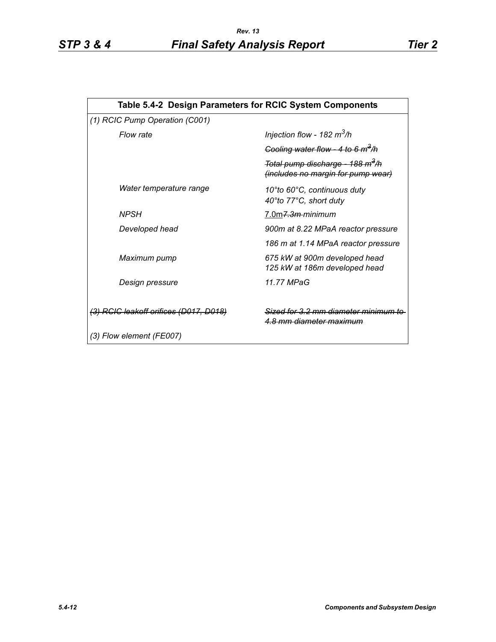| Table 5.4-2 Design Parameters for RCIC System Components |                                                                                             |  |  |  |
|----------------------------------------------------------|---------------------------------------------------------------------------------------------|--|--|--|
| (1) RCIC Pump Operation (C001)                           |                                                                                             |  |  |  |
| Flow rate                                                | Injection flow - 182 $m^3/h$                                                                |  |  |  |
|                                                          | Cooling water flow - 4 to 6 $m^3/h$                                                         |  |  |  |
|                                                          | <del>Total pump discharge - 188 m<sup>3</sup>/h</del><br>(includes no margin for pump wear) |  |  |  |
| Water temperature range                                  | 10°to 60°C, continuous duty<br>40°to 77°C, short duty                                       |  |  |  |
| <b>NPSH</b>                                              | 7.0m <del>7.3m </del> minimum                                                               |  |  |  |
| Developed head                                           | 900m at 8.22 MPaA reactor pressure                                                          |  |  |  |
|                                                          | 186 m at 1.14 MPaA reactor pressure                                                         |  |  |  |
| Maximum pump                                             | 675 kW at 900m developed head<br>125 kW at 186m developed head                              |  |  |  |
| Design pressure                                          | 11.77 MPaG                                                                                  |  |  |  |
| (3) RCIC leakoff orifices (D017, D018)                   | Sized for 3.2 mm diameter minimum<br><del>4.8 mm diameter maximum</del>                     |  |  |  |
| (3) Flow element (FE007)                                 |                                                                                             |  |  |  |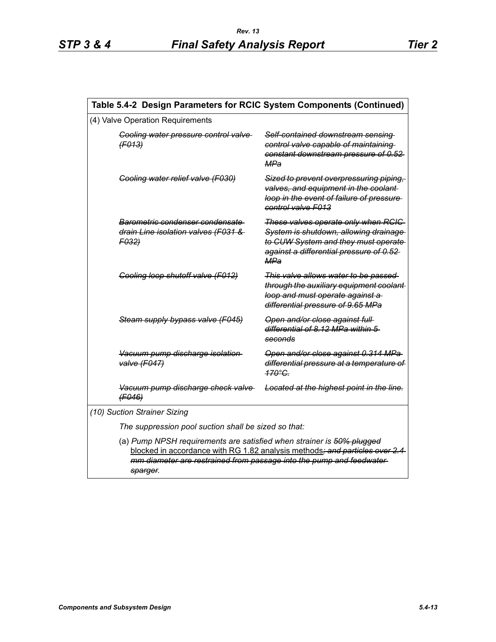| Table 5.4-2 Design Parameters for RCIC System Components (Continued)                                                                                                                                                                     |                                                                                                                                                                        |  |  |  |
|------------------------------------------------------------------------------------------------------------------------------------------------------------------------------------------------------------------------------------------|------------------------------------------------------------------------------------------------------------------------------------------------------------------------|--|--|--|
| (4) Valve Operation Requirements                                                                                                                                                                                                         |                                                                                                                                                                        |  |  |  |
| Cooling water pressure control valve<br>(F013)                                                                                                                                                                                           | Self-contained downstream sensing<br>control valve capable of maintaining<br>constant downstream pressure of 0.52<br>MPa                                               |  |  |  |
| Cooling water relief valve (F030)                                                                                                                                                                                                        | Sized to prevent overpressuring piping,<br>valves, and equipment in the coolant-<br>loop in the event of failure of pressure<br>control valve F013                     |  |  |  |
| Barometric condenser condensate<br>drain Line isolation valves (F031 &<br>F032                                                                                                                                                           | These valves operate only when RCIC<br>System is shutdown, allowing drainage<br>to CUW System and they must operate<br>against a differential pressure of 0.52-<br>MPa |  |  |  |
| Cooling loop shutoff valve (F012)                                                                                                                                                                                                        | This valve allows water to be passed<br>through the auxiliary equipment coolant-<br>loop and must operate against a<br>differential pressure of 9.65 MPa               |  |  |  |
| Steam supply bypass valve (F045)                                                                                                                                                                                                         | Open and/or close against full-<br>differential of 8.12 MPa within 5<br>seconds                                                                                        |  |  |  |
| Vacuum pump discharge isolation<br>valve (F047)                                                                                                                                                                                          | Open and/or close against 0.314 MPa<br>differential pressure at a temperature of<br>170°C                                                                              |  |  |  |
| Vacuum pump discharge check valve<br>(F046)                                                                                                                                                                                              | Located at the highest point in the line.                                                                                                                              |  |  |  |
| (10) Suction Strainer Sizing                                                                                                                                                                                                             |                                                                                                                                                                        |  |  |  |
| The suppression pool suction shall be sized so that:                                                                                                                                                                                     |                                                                                                                                                                        |  |  |  |
| (a) Pump NPSH requirements are satisfied when strainer is 50% plugged<br>blocked in accordance with RG 1.82 analysis methods; and particles over 2.4<br>mm diameter are restrained from passage into the pump and feedwater-<br>sparger. |                                                                                                                                                                        |  |  |  |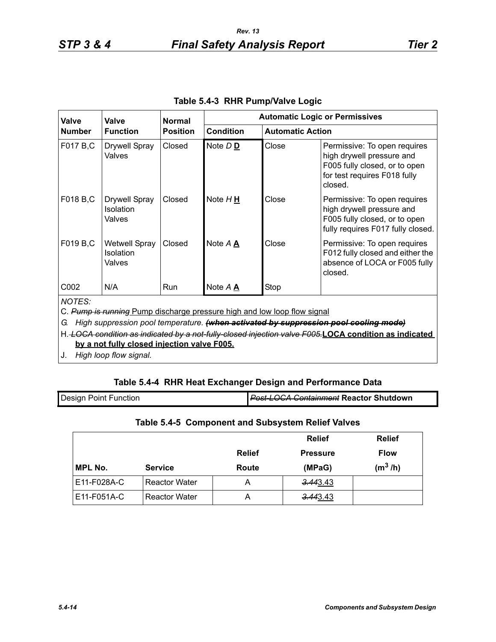$\mathbf l$ 

| <b>Valve</b>                                                                                                                                                                                                                                                                                     | Valve                                       | <b>Normal</b>   | <b>Automatic Logic or Permissives</b> |                         |                                                                                                                                       |
|--------------------------------------------------------------------------------------------------------------------------------------------------------------------------------------------------------------------------------------------------------------------------------------------------|---------------------------------------------|-----------------|---------------------------------------|-------------------------|---------------------------------------------------------------------------------------------------------------------------------------|
| <b>Number</b>                                                                                                                                                                                                                                                                                    | <b>Function</b>                             | <b>Position</b> | <b>Condition</b>                      | <b>Automatic Action</b> |                                                                                                                                       |
| F017 B,C                                                                                                                                                                                                                                                                                         | <b>Drywell Spray</b><br>Valves              | Closed          | Note DD                               | Close                   | Permissive: To open requires<br>high drywell pressure and<br>F005 fully closed, or to open<br>for test requires F018 fully<br>closed. |
| F018 B,C                                                                                                                                                                                                                                                                                         | <b>Drywell Spray</b><br>Isolation<br>Valves | Closed          | Note $H \underline{H}$                | Close                   | Permissive: To open requires<br>high drywell pressure and<br>F005 fully closed, or to open<br>fully requires F017 fully closed.       |
| F019 B,C                                                                                                                                                                                                                                                                                         | <b>Wetwell Spray</b><br>Isolation<br>Valves | Closed          | Note $A \triangle$                    | Close                   | Permissive: To open requires<br>F012 fully closed and either the<br>absence of LOCA or F005 fully<br>closed.                          |
| C002                                                                                                                                                                                                                                                                                             | N/A                                         | <b>Run</b>      | Note $A \triangle$                    | Stop                    |                                                                                                                                       |
| <b>NOTES:</b><br>C. Pump is running Pump discharge pressure high and low loop flow signal<br>High suppression pool temperature. (when activated by suppression pool cooling mode)<br>G.<br>H. LOCA condition as indicated by a not-fully-closed injection valve F005.LOCA condition as indicated |                                             |                 |                                       |                         |                                                                                                                                       |

| Table 5.4-3 RHR Pump/Valve Logic |  |  |
|----------------------------------|--|--|
|----------------------------------|--|--|

**by a not fully closed injection valve F005.**

J. *High loop flow signal.*

# **Table 5.4-4 RHR Heat Exchanger Design and Performance Data**

| <b>Design Point Function</b> | <b>Post-LOCA Containment Reactor Shutdown</b> |
|------------------------------|-----------------------------------------------|
|                              |                                               |

# **Table 5.4-5 Component and Subsystem Relief Valves**

|                |                      |               | <b>Relief</b>   | <b>Relief</b> |
|----------------|----------------------|---------------|-----------------|---------------|
|                |                      | <b>Relief</b> | <b>Pressure</b> | <b>Flow</b>   |
| <b>MPL No.</b> | <b>Service</b>       | Route         | (MPaG)          | $(m^3/h)$     |
| E11-F028A-C    | <b>Reactor Water</b> | А             | 3.443.43        |               |
| E11-F051A-C    | <b>Reactor Water</b> | А             | 3.443.43        |               |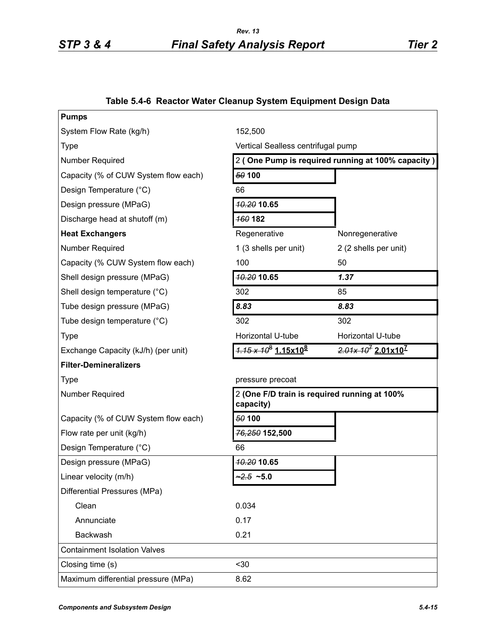# **Table 5.4-6 Reactor Water Cleanup System Equipment Design Data**

| <b>Pumps</b>                         |                                                           |                        |  |
|--------------------------------------|-----------------------------------------------------------|------------------------|--|
| System Flow Rate (kg/h)              | 152,500                                                   |                        |  |
| <b>Type</b>                          | Vertical Sealless centrifugal pump                        |                        |  |
| <b>Number Required</b>               | 2 (One Pump is required running at 100% capacity)         |                        |  |
| Capacity (% of CUW System flow each) | 50 100                                                    |                        |  |
| Design Temperature (°C)              | 66                                                        |                        |  |
| Design pressure (MPaG)               | <b>10.20 10.65</b>                                        |                        |  |
| Discharge head at shutoff (m)        | <b>160182</b>                                             |                        |  |
| <b>Heat Exchangers</b>               | Regenerative                                              | Nonregenerative        |  |
| <b>Number Required</b>               | 1 (3 shells per unit)                                     | 2 (2 shells per unit)  |  |
| Capacity (% CUW System flow each)    | 100                                                       | 50                     |  |
| Shell design pressure (MPaG)         | <b>10.20 10.65</b>                                        | 1.37                   |  |
| Shell design temperature (°C)        | 302                                                       | 85                     |  |
| Tube design pressure (MPaG)          | 8.83                                                      | 8.83                   |  |
| Tube design temperature (°C)         | 302                                                       | 302                    |  |
| <b>Type</b>                          | Horizontal U-tube                                         | Horizontal U-tube      |  |
| Exchange Capacity (kJ/h) (per unit)  | $\frac{1}{1.15 \times 10^8}$ 1.15x10 <sup>8</sup>         | $2.01x 10^7 2.01x10^7$ |  |
| <b>Filter-Demineralizers</b>         |                                                           |                        |  |
| <b>Type</b>                          | pressure precoat                                          |                        |  |
| <b>Number Required</b>               | 2 (One F/D train is required running at 100%<br>capacity) |                        |  |
| Capacity (% of CUW System flow each) | 50 100                                                    |                        |  |
| Flow rate per unit (kg/h)            | 76,250 152,500                                            |                        |  |
| Design Temperature (°C)              | 66                                                        |                        |  |
| Design pressure (MPaG)               | <b>10.20 10.65</b>                                        |                        |  |
| Linear velocity (m/h)                | $-2.5 - 5.0$                                              |                        |  |
| Differential Pressures (MPa)         |                                                           |                        |  |
| Clean                                | 0.034                                                     |                        |  |
| Annunciate                           | 0.17                                                      |                        |  |
| Backwash                             | 0.21                                                      |                        |  |
| <b>Containment Isolation Valves</b>  |                                                           |                        |  |
| Closing time (s)                     | $30$                                                      |                        |  |
| Maximum differential pressure (MPa)  | 8.62                                                      |                        |  |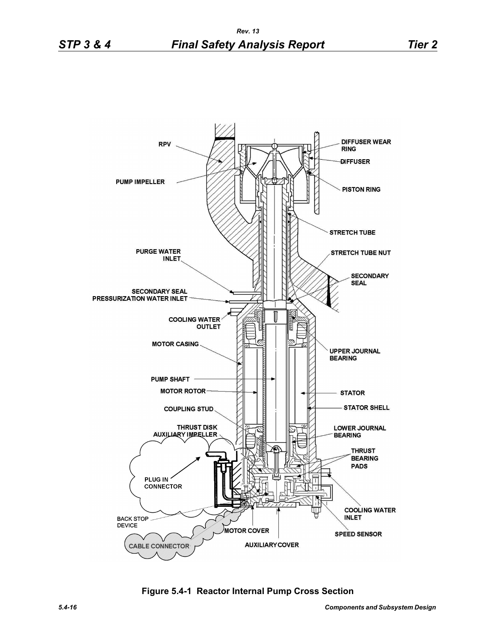

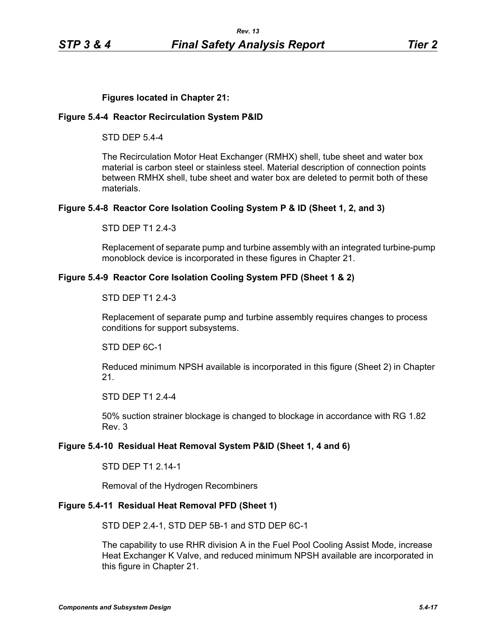### **Figures located in Chapter 21:**

#### **Figure 5.4-4 Reactor Recirculation System P&ID**

STD DEP 5.4-4

The Recirculation Motor Heat Exchanger (RMHX) shell, tube sheet and water box material is carbon steel or stainless steel. Material description of connection points between RMHX shell, tube sheet and water box are deleted to permit both of these materials.

#### **Figure 5.4-8 Reactor Core Isolation Cooling System P & ID (Sheet 1, 2, and 3)**

STD DEP T1 2.4-3

Replacement of separate pump and turbine assembly with an integrated turbine-pump monoblock device is incorporated in these figures in Chapter 21.

#### **Figure 5.4-9 Reactor Core Isolation Cooling System PFD (Sheet 1 & 2)**

#### STD DEP T1 2.4-3

Replacement of separate pump and turbine assembly requires changes to process conditions for support subsystems.

STD DEP 6C-1

Reduced minimum NPSH available is incorporated in this figure (Sheet 2) in Chapter 21.

STD DEP T1 2.4-4

50% suction strainer blockage is changed to blockage in accordance with RG 1.82 Rev. 3

#### **Figure 5.4-10 Residual Heat Removal System P&ID (Sheet 1, 4 and 6)**

STD DEP T1 2.14-1

Removal of the Hydrogen Recombiners

### **Figure 5.4-11 Residual Heat Removal PFD (Sheet 1)**

STD DEP 2.4-1, STD DEP 5B-1 and STD DEP 6C-1

The capability to use RHR division A in the Fuel Pool Cooling Assist Mode, increase Heat Exchanger K Valve, and reduced minimum NPSH available are incorporated in this figure in Chapter 21.